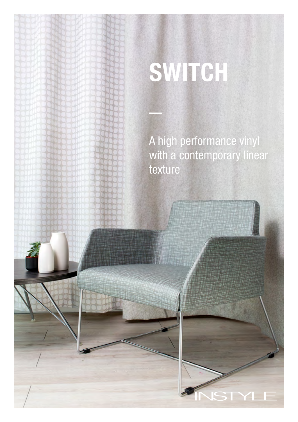# **SWITCH**

A high performance vinyl with a contemporary linear texture

YLE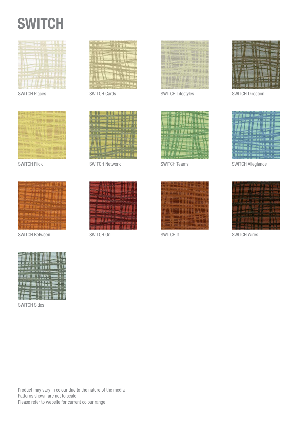



SWITCH Places SWITCH Cards



SWITCH Flick



SWITCH Between





SWITCH Network



SWITCH On





SWITCH Lifestyles



SWITCH Teams





SWITCH Allegiance



SWITCH It SWITCH Wires



SWITCH Sides